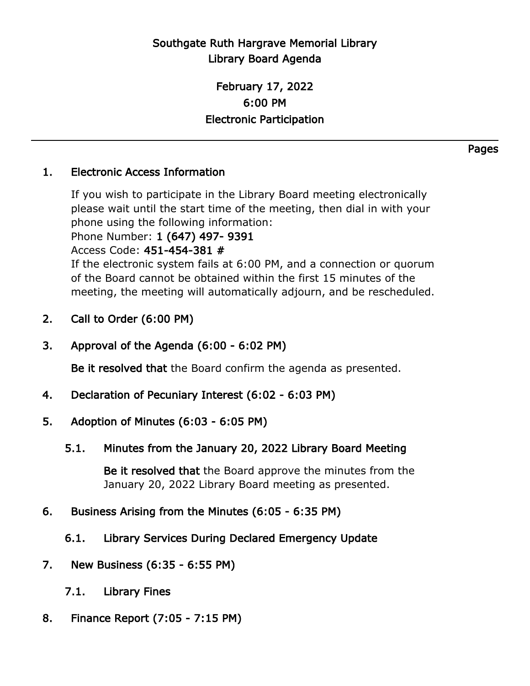## Southgate Ruth Hargrave Memorial Library Library Board Agenda

## February 17, 2022 6:00 PM Electronic Participation

## 1. Electronic Access Information

If you wish to participate in the Library Board meeting electronically please wait until the start time of the meeting, then dial in with your phone using the following information:

Phone Number: 1 (647) 497- 9391

Access Code: 451-454-381 #

If the electronic system fails at 6:00 PM, and a connection or quorum of the Board cannot be obtained within the first 15 minutes of the meeting, the meeting will automatically adjourn, and be rescheduled.

- 2. Call to Order (6:00 PM)
- 3. Approval of the Agenda (6:00 6:02 PM)

Be it resolved that the Board confirm the agenda as presented.

- 4. Declaration of Pecuniary Interest (6:02 6:03 PM)
- 5. Adoption of Minutes (6:03 6:05 PM)
	- 5.1. Minutes from the January 20, 2022 Library Board Meeting

Be it resolved that the Board approve the minutes from the January 20, 2022 Library Board meeting as presented.

- 6. Business Arising from the Minutes (6:05 6:35 PM)
	- 6.1. Library Services During Declared Emergency Update
- 7. New Business (6:35 6:55 PM)
	- 7.1. Library Fines
- 8. Finance Report (7:05 7:15 PM)

Pages